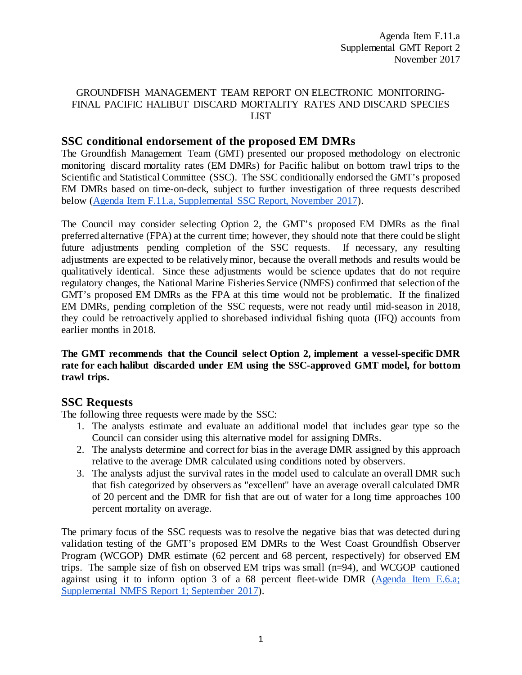#### GROUNDFISH MANAGEMENT TEAM REPORT ON ELECTRONIC MONITORING-FINAL PACIFIC HALIBUT DISCARD MORTALITY RATES AND DISCARD SPECIES LIST

### **SSC conditional endorsement of the proposed EM DMRs**

The Groundfish Management Team (GMT) presented our proposed methodology on electronic monitoring discard mortality rates (EM DMRs) for Pacific halibut on bottom trawl trips to the Scientific and Statistical Committee (SSC). The SSC conditionally endorsed the GMT's proposed EM DMRs based on time-on-deck, subject to further investigation of three requests described below [\(Agenda Item F.11.a, Supplemental SSC Report, November 2017\)](https://www.pcouncil.org/wp-content/uploads/2017/11/F11a_Sup_SSC_Rpt1_NOV2017BB.pdf).

The Council may consider selecting Option 2, the GMT's proposed EM DMRs as the final preferred alternative (FPA) at the current time; however, they should note that there could be slight future adjustments pending completion of the SSC requests. If necessary, any resulting adjustments are expected to be relatively minor, because the overall methods and results would be qualitatively identical. Since these adjustments would be science updates that do not require regulatory changes, the National Marine Fisheries Service (NMFS) confirmed that selection of the GMT's proposed EM DMRs as the FPA at this time would not be problematic. If the finalized EM DMRs, pending completion of the SSC requests, were not ready until mid-season in 2018, they could be retroactively applied to shorebased individual fishing quota (IFQ) accounts from earlier months in 2018.

**The GMT recommends that the Council select Option 2, implement a vessel-specific DMR rate for each halibut discarded under EM using the SSC-approved GMT model, for bottom trawl trips.**

# **SSC Requests**

The following three requests were made by the SSC:

- 1. The analysts estimate and evaluate an additional model that includes gear type so the Council can consider using this alternative model for assigning DMRs.
- 2. The analysts determine and correct for bias in the average DMR assigned by this approach relative to the average DMR calculated using conditions noted by observers.
- 3. The analysts adjust the survival rates in the model used to calculate an overall DMR such that fish categorized by observers as "excellent" have an average overall calculated DMR of 20 percent and the DMR for fish that are out of water for a long time approaches 100 percent mortality on average.

The primary focus of the SSC requests was to resolve the negative bias that was detected during validation testing of the GMT's proposed EM DMRs to the West Coast Groundfish Observer Program (WCGOP) DMR estimate (62 percent and 68 percent, respectively) for observed EM trips. The sample size of fish on observed EM trips was small (n=94), and WCGOP cautioned against using it to inform option 3 of a 68 percent fleet-wide DMR [\(Agenda Item E.6.a;](http://www.pcouncil.org/wp-content/uploads/2017/09/E6a_Sup_NMFS_Rpt1_SEPT2017BB.pdf)  [Supplemental NMFS Report 1; September 2017\)](http://www.pcouncil.org/wp-content/uploads/2017/09/E6a_Sup_NMFS_Rpt1_SEPT2017BB.pdf).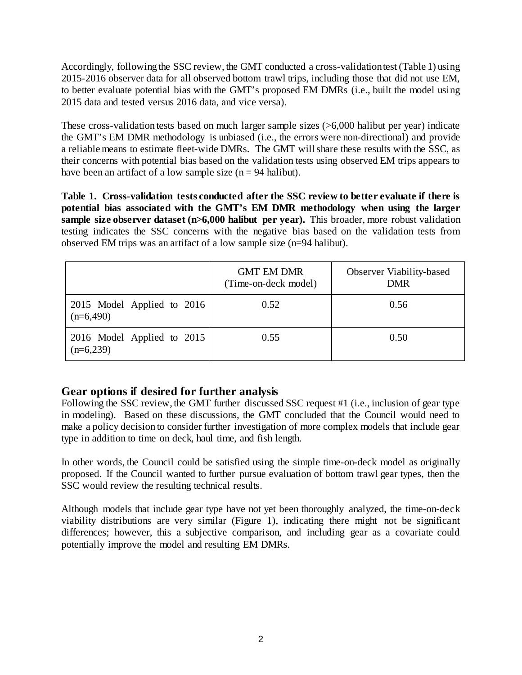Accordingly, following the SSC review, the GMT conducted a cross-validation test (Table 1) using 2015-2016 observer data for all observed bottom trawl trips, including those that did not use EM, to better evaluate potential bias with the GMT's proposed EM DMRs (i.e., built the model using 2015 data and tested versus 2016 data, and vice versa).

These cross-validation tests based on much larger sample sizes (>6,000 halibut per year) indicate the GMT's EM DMR methodology is unbiased (i.e., the errors were non-directional) and provide a reliable means to estimate fleet-wide DMRs. The GMT will share these results with the SSC, as their concerns with potential bias based on the validation tests using observed EM trips appears to have been an artifact of a low sample size ( $n = 94$  halibut).

**Table 1. Cross-validation tests conducted after the SSC review to better evaluate if there is potential bias associated with the GMT's EM DMR methodology when using the larger sample size observer dataset (n>6,000 halibut per year).** This broader, more robust validation testing indicates the SSC concerns with the negative bias based on the validation tests from observed EM trips was an artifact of a low sample size (n=94 halibut).

|                                             | <b>GMT EM DMR</b><br>(Time-on-deck model) | Observer Viability-based<br><b>DMR</b> |
|---------------------------------------------|-------------------------------------------|----------------------------------------|
| 2015 Model Applied to $2016$<br>$(n=6,490)$ | 0.52                                      | 0.56                                   |
| 2016 Model Applied to $2015$<br>$(n=6,239)$ | 0.55                                      | 0.50                                   |

# **Gear options if desired for further analysis**

Following the SSC review, the GMT further discussed SSC request #1 (i.e., inclusion of gear type in modeling). Based on these discussions, the GMT concluded that the Council would need to make a policy decision to consider further investigation of more complex models that include gear type in addition to time on deck, haul time, and fish length.

In other words, the Council could be satisfied using the simple time-on-deck model as originally proposed. If the Council wanted to further pursue evaluation of bottom trawl gear types, then the SSC would review the resulting technical results.

Although models that include gear type have not yet been thoroughly analyzed, the time-on-deck viability distributions are very similar (Figure 1), indicating there might not be significant differences; however, this a subjective comparison, and including gear as a covariate could potentially improve the model and resulting EM DMRs.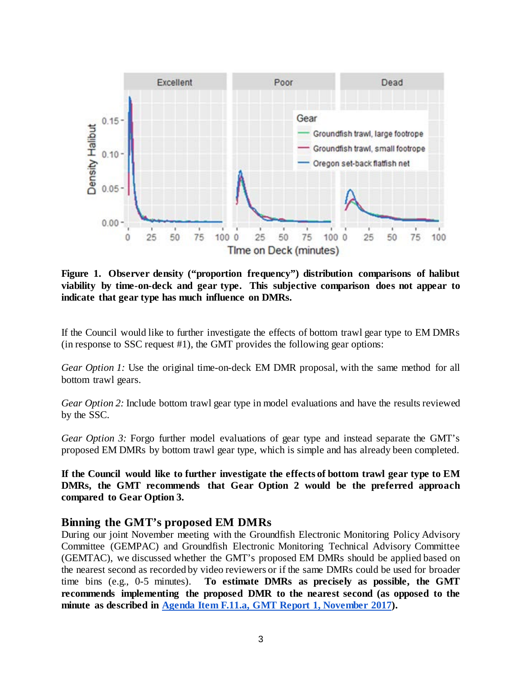

**Figure 1. Observer density ("proportion frequency") distribution comparisons of halibut viability by time-on-deck and gear type. This subjective comparison does not appear to indicate that gear type has much influence on DMRs.** 

If the Council would like to further investigate the effects of bottom trawl gear type to EM DMRs (in response to SSC request #1), the GMT provides the following gear options:

*Gear Option 1:* Use the original time-on-deck EM DMR proposal, with the same method for all bottom trawl gears.

*Gear Option 2:* Include bottom trawl gear type in model evaluations and have the results reviewed by the SSC.

*Gear Option 3:* Forgo further model evaluations of gear type and instead separate the GMT's proposed EM DMRs by bottom trawl gear type, which is simple and has already been completed.

**If the Council would like to further investigate the effects of bottom trawl gear type to EM DMRs, the GMT recommends that Gear Option 2 would be the preferred approach compared to Gear Option 3.**

#### **Binning the GMT's proposed EM DMRs**

During our joint November meeting with the Groundfish Electronic Monitoring Policy Advisory Committee (GEMPAC) and Groundfish Electronic Monitoring Technical Advisory Committee (GEMTAC), we discussed whether the GMT's proposed EM DMRs should be applied based on the nearest second as recorded by video reviewers or if the same DMRs could be used for broader time bins (e.g., 0-5 minutes). **To estimate DMRs as precisely as possible, the GMT recommends implementing the proposed DMR to the nearest second (as opposed to the minute as described in [Agenda Item F.11.a, GMT Report 1, November 2017\)](http://www.pcouncil.org/wp-content/uploads/2017/10/F11a_GMT_Rpt1_NOV2017BB.pdf).**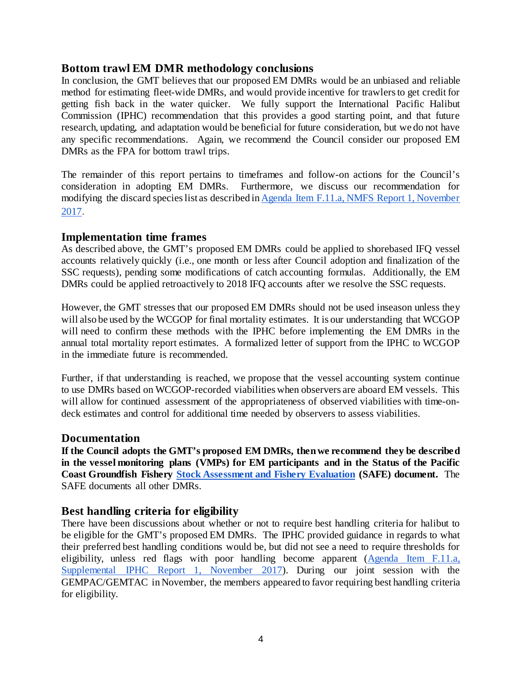#### **Bottom trawl EM DMR methodology conclusions**

In conclusion, the GMT believes that our proposed EM DMRs would be an unbiased and reliable method for estimating fleet-wide DMRs, and would provide incentive for trawlers to get credit for getting fish back in the water quicker. We fully support the International Pacific Halibut Commission (IPHC) recommendation that this provides a good starting point, and that future research, updating, and adaptation would be beneficial for future consideration, but we do not have any specific recommendations. Again, we recommend the Council consider our proposed EM DMRs as the FPA for bottom trawl trips.

The remainder of this report pertains to timeframes and follow-on actions for the Council's consideration in adopting EM DMRs. Furthermore, we discuss our recommendation for modifying the discard species list as described in [Agenda Item F.11.a, NMFS Report 1, November](http://www.pcouncil.org/wp-content/uploads/2017/10/F11a_NMFS_Rpt1_discard_species_list_NOV2017BB.pdf)  [2017.](http://www.pcouncil.org/wp-content/uploads/2017/10/F11a_NMFS_Rpt1_discard_species_list_NOV2017BB.pdf)

#### **Implementation time frames**

As described above, the GMT's proposed EM DMRs could be applied to shorebased IFQ vessel accounts relatively quickly (i.e., one month or less after Council adoption and finalization of the SSC requests), pending some modifications of catch accounting formulas. Additionally, the EM DMRs could be applied retroactively to 2018 IFQ accounts after we resolve the SSC requests.

However, the GMT stresses that our proposed EM DMRs should not be used inseason unless they will also be used by the WCGOP for final mortality estimates. It is our understanding that WCGOP will need to confirm these methods with the IPHC before implementing the EM DMRs in the annual total mortality report estimates. A formalized letter of support from the IPHC to WCGOP in the immediate future is recommended.

Further, if that understanding is reached, we propose that the vessel accounting system continue to use DMRs based on WCGOP-recorded viabilities when observers are aboard EM vessels. This will allow for continued assessment of the appropriateness of observed viabilities with time-ondeck estimates and control for additional time needed by observers to assess viabilities.

#### **Documentation**

**If the Council adopts the GMT's proposed EM DMRs, then we recommend they be described in the vessel monitoring plans (VMPs) for EM participants and in the Status of the Pacific Coast Groundfish Fishery [Stock Assessment and Fishery Evaluation](http://www.pcouncil.org/wp-content/uploads/2017/02/SAFE_Dec2016_02_28_2017.pdf) (SAFE) document.** The SAFE documents all other DMRs.

#### **Best handling criteria for eligibility**

There have been discussions about whether or not to require best handling criteria for halibut to be eligible for the GMT's proposed EM DMRs. The IPHC provided guidance in regards to what their preferred best handling conditions would be, but did not see a need to require thresholds for eligibility, unless red flags with poor handling become apparent [\(Agenda Item F.11.a,](https://www.pcouncil.org/wp-content/uploads/2017/11/F11a_Sup_IPHC_Rpt1_NOV2017BB.pdf)  [Supplemental IPHC Report 1,](https://www.pcouncil.org/wp-content/uploads/2017/11/F11a_Sup_IPHC_Rpt1_NOV2017BB.pdf) November 2017). During our joint session with the GEMPAC/GEMTAC in November, the members appeared to favor requiring best handling criteria for eligibility.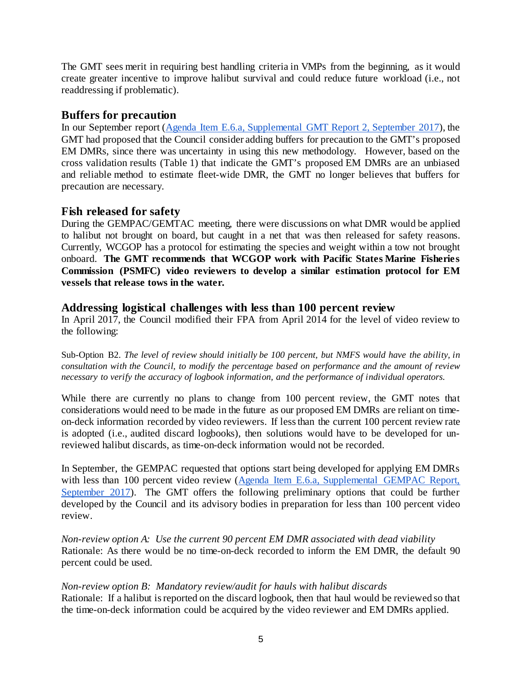The GMT sees merit in requiring best handling criteria in VMPs from the beginning, as it would create greater incentive to improve halibut survival and could reduce future workload (i.e., not readdressing if problematic).

# **Buffers for precaution**

In our September report [\(Agenda Item E.6.a, Supplemental GMT Report 2, September 2017\)](http://www.pcouncil.org/wp-content/uploads/2017/09/E6a_Sup_GMT_Rpt2_SEPT2017BB.pdf), the GMT had proposed that the Council consider adding buffers for precaution to the GMT's proposed EM DMRs, since there was uncertainty in using this new methodology. However, based on the cross validation results (Table 1) that indicate the GMT's proposed EM DMRs are an unbiased and reliable method to estimate fleet-wide DMR, the GMT no longer believes that buffers for precaution are necessary.

# **Fish released for safety**

During the GEMPAC/GEMTAC meeting, there were discussions on what DMR would be applied to halibut not brought on board, but caught in a net that was then released for safety reasons. Currently, WCGOP has a protocol for estimating the species and weight within a tow not brought onboard. **The GMT recommends that WCGOP work with Pacific States Marine Fisheries Commission (PSMFC) video reviewers to develop a similar estimation protocol for EM vessels that release tows in the water.** 

### **Addressing logistical challenges with less than 100 percent review**

In April 2017, the Council modified their FPA from April 2014 for the level of video review to the following:

Sub-Option B2. *The level of review should initially be 100 percent, but NMFS would have the ability, in consultation with the Council, to modify the percentage based on performance and the amount of review necessary to verify the accuracy of logbook information, and the performance of individual operators.*

While there are currently no plans to change from 100 percent review, the GMT notes that considerations would need to be made in the future as our proposed EM DMRs are reliant on timeon-deck information recorded by video reviewers. If less than the current 100 percent review rate is adopted (i.e., audited discard logbooks), then solutions would have to be developed for unreviewed halibut discards, as time-on-deck information would not be recorded.

In September, the GEMPAC requested that options start being developed for applying EM DMRs with less than 100 percent video review (Agenda Item E.6.a, Supplemental GEMPAC Report, [September 2017\)](http://www.pcouncil.org/wp-content/uploads/2017/09/E6a_Sup_GEMPAC_Rpt1_SEPT2017BB.pdf). The GMT offers the following preliminary options that could be further developed by the Council and its advisory bodies in preparation for less than 100 percent video review.

*Non-review option A: Use the current 90 percent EM DMR associated with dead viability* Rationale: As there would be no time-on-deck recorded to inform the EM DMR, the default 90 percent could be used.

*Non-review option B: Mandatory review/audit for hauls with halibut discards* Rationale: If a halibut is reported on the discard logbook, then that haul would be reviewed so that the time-on-deck information could be acquired by the video reviewer and EM DMRs applied.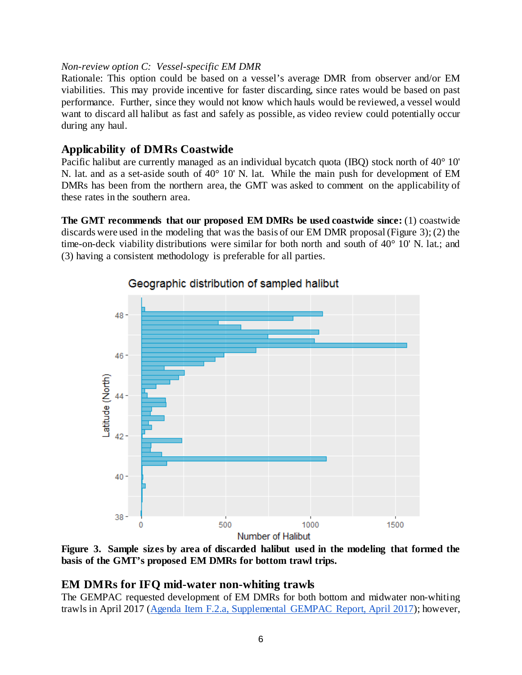#### *Non-review option C: Vessel-specific EM DMR*

Rationale: This option could be based on a vessel's average DMR from observer and/or EM viabilities. This may provide incentive for faster discarding, since rates would be based on past performance. Further, since they would not know which hauls would be reviewed, a vessel would want to discard all halibut as fast and safely as possible, as video review could potentially occur during any haul.

# **Applicability of DMRs Coastwide**

Pacific halibut are currently managed as an individual bycatch quota (IBQ) stock north of 40° 10' N. lat. and as a set-aside south of 40° 10' N. lat. While the main push for development of EM DMRs has been from the northern area, the GMT was asked to comment on the applicability of these rates in the southern area.

**The GMT recommends that our proposed EM DMRs be used coastwide since:** (1) coastwide discards were used in the modeling that was the basis of our EM DMR proposal (Figure 3); (2) the time-on-deck viability distributions were similar for both north and south of 40° 10' N. lat.; and (3) having a consistent methodology is preferable for all parties.



Geographic distribution of sampled halibut

**Figure 3. Sample sizes by area of discarded halibut used in the modeling that formed the basis of the GMT's proposed EM DMRs for bottom trawl trips.** 

# **EM DMRs for IFQ mid-water non-whiting trawls**

The GEMPAC requested development of EM DMRs for both bottom and midwater non-whiting trawls in April 2017 [\(Agenda Item F.2.a, Supplemental GEMPAC Report, April 2017\)](http://www.pcouncil.org/wp-content/uploads/2017/04/F2a_Sup_GEMPAC_Rpt_Apr2017BB.pdf); however,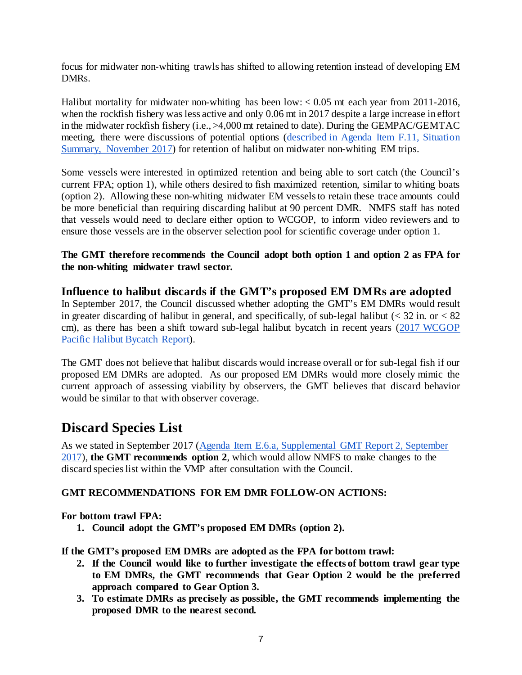focus for midwater non-whiting trawls has shifted to allowing retention instead of developing EM DMRs.

Halibut mortality for midwater non-whiting has been low:  $< 0.05$  mt each year from 2011-2016, when the rockfish fishery was less active and only 0.06 mt in 2017 despite a large increase in effort in the midwater rockfish fishery (i.e., >4,000 mt retained to date). During the GEMPAC/GEMTAC meeting, there were discussions of potential options [\(described in Agenda Item F.11, Situation](https://www.pcouncil.org/wp-content/uploads/2017/11/F11a_Sup_SSC_Rpt1_NOV2017BB.pdf)  [Summary, November 2017\)](https://www.pcouncil.org/wp-content/uploads/2017/11/F11a_Sup_SSC_Rpt1_NOV2017BB.pdf) for retention of halibut on midwater non-whiting EM trips.

Some vessels were interested in optimized retention and being able to sort catch (the Council's current FPA; option 1), while others desired to fish maximized retention, similar to whiting boats (option 2). Allowing these non-whiting midwater EM vessels to retain these trace amounts could be more beneficial than requiring discarding halibut at 90 percent DMR. NMFS staff has noted that vessels would need to declare either option to WCGOP, to inform video reviewers and to ensure those vessels are in the observer selection pool for scientific coverage under option 1.

#### **The GMT therefore recommends the Council adopt both option 1 and option 2 as FPA for the non-whiting midwater trawl sector.**

# **Influence to halibut discards if the GMT's proposed EM DMRs are adopted** In September 2017, the Council discussed whether adopting the GMT's EM DMRs would result

in greater discarding of halibut in general, and specifically, of sub-legal halibut  $\langle \langle 32 \rangle$  in. or  $\langle 82 \rangle$ cm), as there has been a shift toward sub-legal halibut bycatch in recent years [\(2017 WCGOP](http://www.pcouncil.org/wp-content/uploads/2017/08/E1b_NMFS_NWFSC_Rpt_3_E-Only_Pacific_halibut_Bycatch_Rpt_2002_2016_SEPT2017BB.pdf)  [Pacific Halibut Bycatch Report\)](http://www.pcouncil.org/wp-content/uploads/2017/08/E1b_NMFS_NWFSC_Rpt_3_E-Only_Pacific_halibut_Bycatch_Rpt_2002_2016_SEPT2017BB.pdf).

The GMT does not believe that halibut discards would increase overall or for sub-legal fish if our proposed EM DMRs are adopted. As our proposed EM DMRs would more closely mimic the current approach of assessing viability by observers, the GMT believes that discard behavior would be similar to that with observer coverage.

# **Discard Species List**

As we stated in September 2017 [\(Agenda Item E.6.a, Supplemental GMT Report 2, September](http://www.pcouncil.org/wp-content/uploads/2017/09/E6a_Sup_GMT_Rpt2_SEPT2017BB.pdf)  [2017\)](http://www.pcouncil.org/wp-content/uploads/2017/09/E6a_Sup_GMT_Rpt2_SEPT2017BB.pdf), **the GMT recommends option 2**, which would allow NMFS to make changes to the discard species list within the VMP after consultation with the Council.

# **GMT RECOMMENDATIONS FOR EM DMR FOLLOW-ON ACTIONS:**

# **For bottom trawl FPA:**

**1. Council adopt the GMT's proposed EM DMRs (option 2).**

**If the GMT's proposed EM DMRs are adopted as the FPA for bottom trawl:**

- **2. If the Council would like to further investigate the effects of bottom trawl gear type to EM DMRs, the GMT recommends that Gear Option 2 would be the preferred approach compared to Gear Option 3.**
- **3. To estimate DMRs as precisely as possible, the GMT recommends implementing the proposed DMR to the nearest second.**